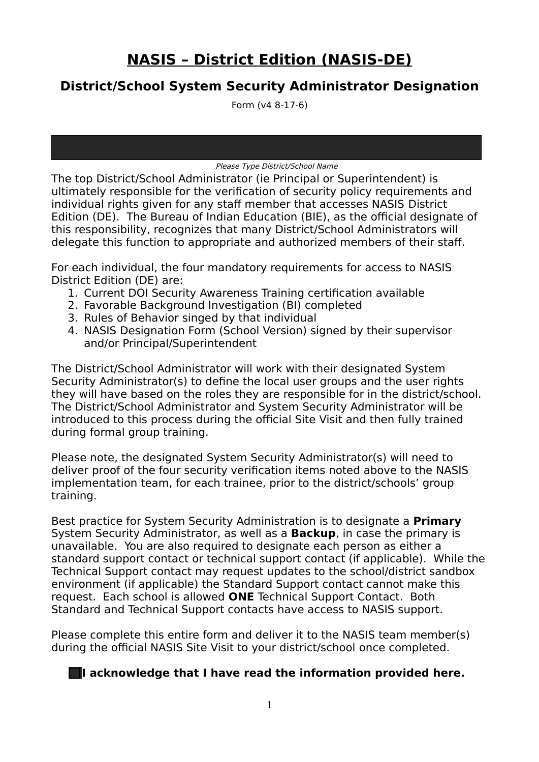# **NASIS – District Edition (NASIS-DE)**

## **District/School System Security Administrator Designation**

Form (v4 8-17-6)

Please Type District/School Name

The top District/School Administrator (ie Principal or Superintendent) is ultimately responsible for the verification of security policy requirements and individual rights given for any staff member that accesses NASIS District Edition (DE). The Bureau of Indian Education (BIE), as the official designate of this responsibility, recognizes that many District/School Administrators will delegate this function to appropriate and authorized members of their staff.

For each individual, the four mandatory requirements for access to NASIS District Edition (DE) are:

- 1. Current DOI Security Awareness Training certification available
- 2. Favorable Background Investigation (BI) completed
- 3. Rules of Behavior singed by that individual
- 4. NASIS Designation Form (School Version) signed by their supervisor and/or Principal/Superintendent

The District/School Administrator will work with their designated System Security Administrator(s) to define the local user groups and the user rights they will have based on the roles they are responsible for in the district/school. The District/School Administrator and System Security Administrator will be introduced to this process during the official Site Visit and then fully trained during formal group training.

Please note, the designated System Security Administrator(s) will need to deliver proof of the four security verification items noted above to the NASIS implementation team, for each trainee, prior to the district/schools' group training.

Best practice for System Security Administration is to designate a **Primary** System Security Administrator, as well as a **Backup**, in case the primary is unavailable. You are also required to designate each person as either a standard support contact or technical support contact (if applicable). While the Technical Support contact may request updates to the school/district sandbox environment (if applicable) the Standard Support contact cannot make this request. Each school is allowed **ONE** Technical Support Contact. Both Standard and Technical Support contacts have access to NASIS support.

Please complete this entire form and deliver it to the NASIS team member(s) during the official NASIS Site Visit to your district/school once completed.

#### **I** acknowledge that I have read the information provided here.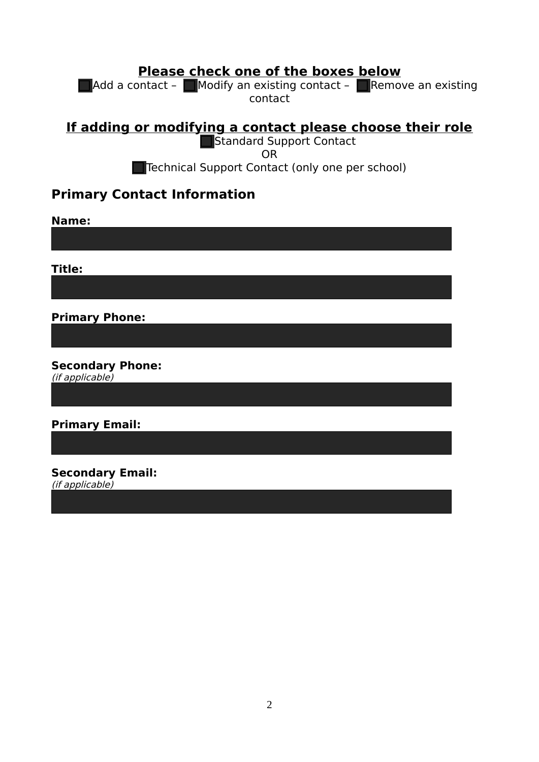## **Please check one of the boxes below**

Add a contact - Modify an existing contact - Remove an existing contact

**If adding or modifying a contact please choose their role**

Standard Support Contact OR Technical Support Contact (only one per school)

### **Primary Contact Information**

**Name:**

**Title:**

**Primary Phone:**

**Secondary Phone:**  (if applicable)

**Primary Email:**

**Secondary Email:** (if applicable)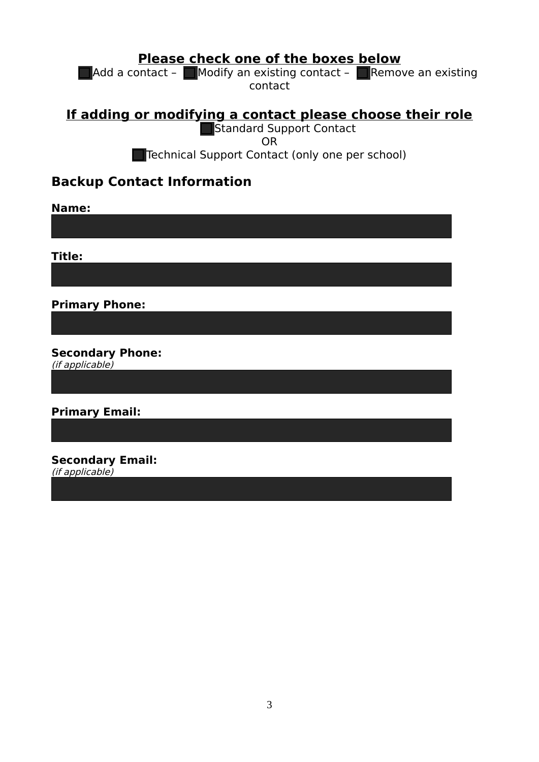#### **Please check one of the boxes below**

 $\blacksquare$  Add a contact –  $\blacksquare$  Modify an existing contact –  $\blacksquare$  Remove an existing contact

## **If adding or modifying a contact please choose their role**

Standard Support Contact OR Technical Support Contact (only one per school)

## **Backup Contact Information**

**Name:**

**Title:**

**Primary Phone:**

**Secondary Phone:** 

(if applicable)

**Primary Email:**

**Secondary Email:** (if applicable)

3